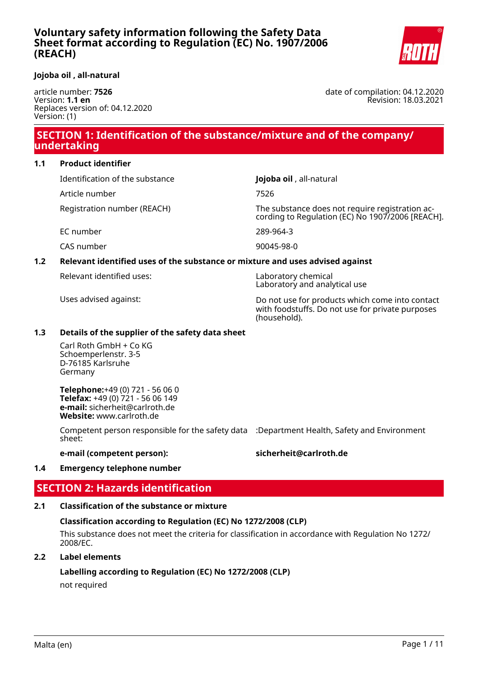

#### **Jojoba oil , all-natural**

article number: **7526** Version: **1.1 en** Replaces version of: 04.12.2020 Version: (1)

date of compilation: 04.12.2020 Revision: 18.03.2021

## **SECTION 1: Identification of the substance/mixture and of the company/ undertaking**

#### **1.1 Product identifier**

Identification of the substance **Jojoba oil** , all-natural

Article number 7526

Registration number (REACH) The substance does not require registration according to Regulation (EC) No 1907/2006 [REACH].

EC number 289-964-3

CAS number 90045-98-0

#### **1.2 Relevant identified uses of the substance or mixture and uses advised against**

Relevant identified uses: Laboratory chemical

Laboratory and analytical use

Uses advised against: Do not use for products which come into contact with foodstuffs. Do not use for private purposes (household).

#### **1.3 Details of the supplier of the safety data sheet**

Carl Roth GmbH + Co KG Schoemperlenstr. 3-5 D-76185 Karlsruhe Germany

**Telephone:**+49 (0) 721 - 56 06 0 **Telefax:** +49 (0) 721 - 56 06 149 **e-mail:** sicherheit@carlroth.de **Website:** www.carlroth.de

Competent person responsible for the safety data :Department Health, Safety and Environment sheet:

#### **e-mail (competent person): sicherheit@carlroth.de**

#### **1.4 Emergency telephone number**

## **SECTION 2: Hazards identification**

#### **2.1 Classification of the substance or mixture**

#### **Classification according to Regulation (EC) No 1272/2008 (CLP)**

This substance does not meet the criteria for classification in accordance with Regulation No 1272/ 2008/EC.

#### **2.2 Label elements**

#### **Labelling according to Regulation (EC) No 1272/2008 (CLP)**

not required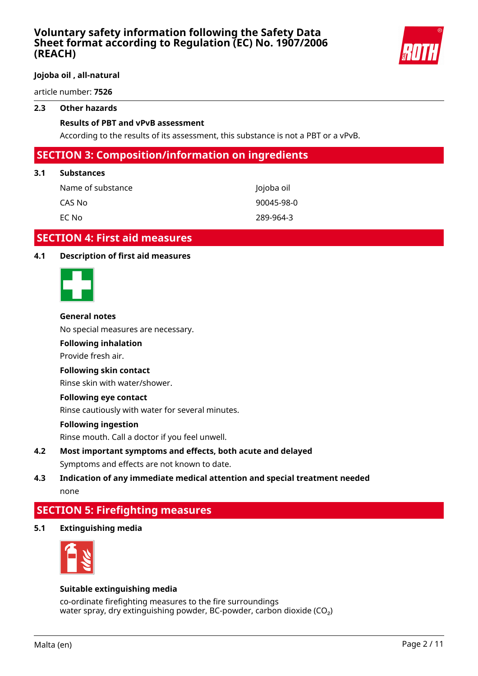

#### **Jojoba oil , all-natural**

article number: **7526**

#### **2.3 Other hazards**

#### **Results of PBT and vPvB assessment**

According to the results of its assessment, this substance is not a PBT or a vPvB.

## **SECTION 3: Composition/information on ingredients**

#### **3.1 Substances**

| Name of substance | Jojoba oil |  |
|-------------------|------------|--|
| CAS No            | 90045-98-0 |  |
| EC No             | 289-964-3  |  |

## **SECTION 4: First aid measures**

#### **4.1 Description of first aid measures**



#### **General notes**

No special measures are necessary.

#### **Following inhalation**

Provide fresh air.

#### **Following skin contact**

Rinse skin with water/shower.

#### **Following eye contact**

Rinse cautiously with water for several minutes.

#### **Following ingestion**

Rinse mouth. Call a doctor if you feel unwell.

**4.2 Most important symptoms and effects, both acute and delayed** Symptoms and effects are not known to date.

## **4.3 Indication of any immediate medical attention and special treatment needed** none

## **SECTION 5: Firefighting measures**

**5.1 Extinguishing media**



#### **Suitable extinguishing media**

co-ordinate firefighting measures to the fire surroundings water spray, dry extinguishing powder, BC-powder, carbon dioxide (CO<sub>2</sub>)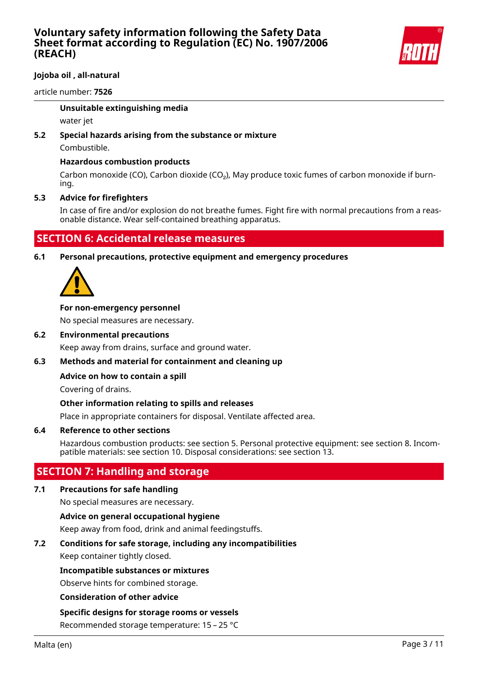

### **Jojoba oil , all-natural**

article number: **7526**

#### **Unsuitable extinguishing media**

water jet

# **5.2 Special hazards arising from the substance or mixture**

Combustible.

#### **Hazardous combustion products**

Carbon monoxide (CO), Carbon dioxide (CO<sub>2</sub>), May produce toxic fumes of carbon monoxide if burning.

#### **5.3 Advice for firefighters**

In case of fire and/or explosion do not breathe fumes. Fight fire with normal precautions from a reasonable distance. Wear self-contained breathing apparatus.

## **SECTION 6: Accidental release measures**

**6.1 Personal precautions, protective equipment and emergency procedures**



#### **For non-emergency personnel**

No special measures are necessary.

#### **6.2 Environmental precautions**

Keep away from drains, surface and ground water.

#### **6.3 Methods and material for containment and cleaning up**

#### **Advice on how to contain a spill**

Covering of drains.

#### **Other information relating to spills and releases**

Place in appropriate containers for disposal. Ventilate affected area.

#### **6.4 Reference to other sections**

Hazardous combustion products: see section 5. Personal protective equipment: see section 8. Incompatible materials: see section 10. Disposal considerations: see section 13.

## **SECTION 7: Handling and storage**

#### **7.1 Precautions for safe handling**

No special measures are necessary.

**Advice on general occupational hygiene**

Keep away from food, drink and animal feedingstuffs.

#### **7.2 Conditions for safe storage, including any incompatibilities**

Keep container tightly closed.

#### **Incompatible substances or mixtures**

Observe hints for combined storage.

#### **Consideration of other advice**

#### **Specific designs for storage rooms or vessels**

Recommended storage temperature: 15 – 25 °C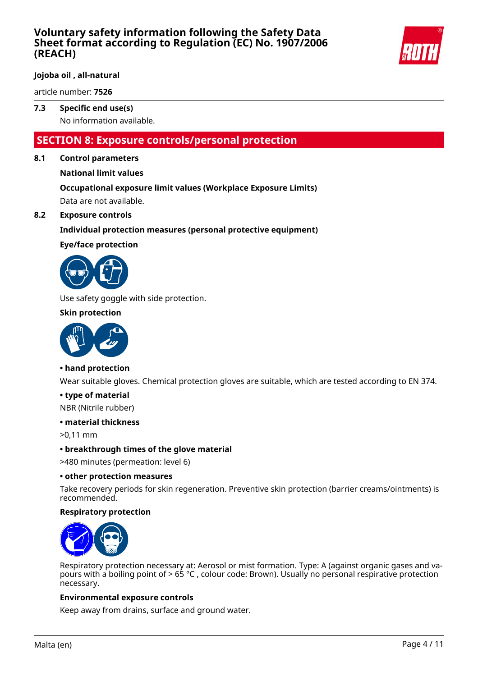

#### **Jojoba oil , all-natural**

article number: **7526**

#### **7.3 Specific end use(s)**

No information available.

## **SECTION 8: Exposure controls/personal protection**

#### **8.1 Control parameters**

**National limit values**

#### **Occupational exposure limit values (Workplace Exposure Limits)** Data are not available.

#### **8.2 Exposure controls**

#### **Individual protection measures (personal protective equipment)**

**Eye/face protection**



Use safety goggle with side protection.

#### **Skin protection**



#### **• hand protection**

Wear suitable gloves. Chemical protection gloves are suitable, which are tested according to EN 374.

#### **• type of material**

NBR (Nitrile rubber)

#### **• material thickness**

>0,11 mm

**• breakthrough times of the glove material**

>480 minutes (permeation: level 6)

#### **• other protection measures**

Take recovery periods for skin regeneration. Preventive skin protection (barrier creams/ointments) is recommended.

#### **Respiratory protection**



Respiratory protection necessary at: Aerosol or mist formation. Type: A (against organic gases and vapours with a boiling point of  $> 65$  °C, colour code: Brown). Usually no personal respirative protection necessary.

#### **Environmental exposure controls**

Keep away from drains, surface and ground water.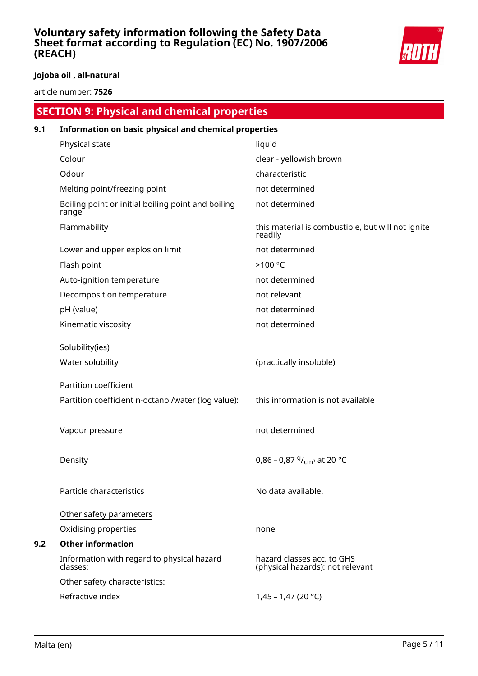

## **Jojoba oil , all-natural**

article number: **7526**

|     | <b>SECTION 9: Physical and chemical properties</b>          |                                                                |  |
|-----|-------------------------------------------------------------|----------------------------------------------------------------|--|
| 9.1 | Information on basic physical and chemical properties       |                                                                |  |
|     | Physical state                                              | liquid                                                         |  |
|     | Colour                                                      | clear - yellowish brown                                        |  |
|     | Odour                                                       | characteristic                                                 |  |
|     | Melting point/freezing point                                | not determined                                                 |  |
|     | Boiling point or initial boiling point and boiling<br>range | not determined                                                 |  |
|     | Flammability                                                | this material is combustible, but will not ignite<br>readily   |  |
|     | Lower and upper explosion limit                             | not determined                                                 |  |
|     | Flash point                                                 | >100 °C                                                        |  |
|     | Auto-ignition temperature                                   | not determined                                                 |  |
|     | Decomposition temperature                                   | not relevant                                                   |  |
|     | pH (value)                                                  | not determined                                                 |  |
|     | Kinematic viscosity                                         | not determined                                                 |  |
|     | Solubility(ies)                                             |                                                                |  |
|     | Water solubility                                            | (practically insoluble)                                        |  |
|     | Partition coefficient                                       |                                                                |  |
|     | Partition coefficient n-octanol/water (log value):          | this information is not available                              |  |
|     | Vapour pressure                                             | not determined                                                 |  |
|     | Density                                                     | 0,86 – 0,87 $9/_{cm^3}$ at 20 °C                               |  |
|     | Particle characteristics                                    | No data available.                                             |  |
|     | Other safety parameters                                     |                                                                |  |
|     | Oxidising properties                                        | none                                                           |  |
| 9.2 | <b>Other information</b>                                    |                                                                |  |
|     | Information with regard to physical hazard<br>classes:      | hazard classes acc. to GHS<br>(physical hazards): not relevant |  |
|     | Other safety characteristics:                               |                                                                |  |
|     | Refractive index                                            | 1,45 - 1,47 (20 °C)                                            |  |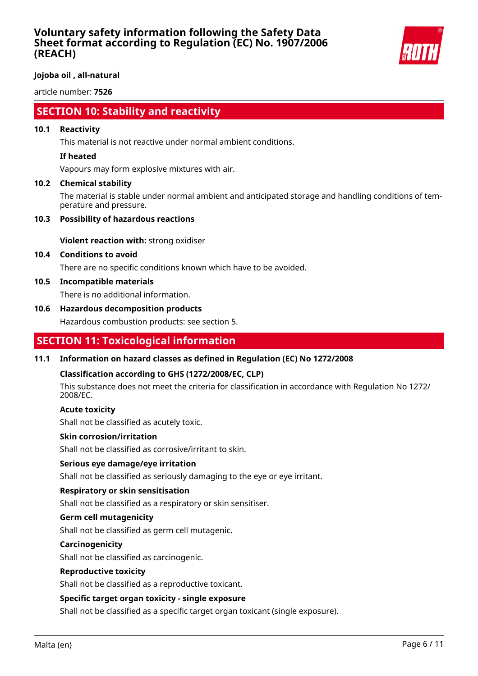

#### **Jojoba oil , all-natural**

article number: **7526**

## **SECTION 10: Stability and reactivity**

#### **10.1 Reactivity**

This material is not reactive under normal ambient conditions.

#### **If heated**

Vapours may form explosive mixtures with air.

#### **10.2 Chemical stability**

The material is stable under normal ambient and anticipated storage and handling conditions of temperature and pressure.

#### **10.3 Possibility of hazardous reactions**

**Violent reaction with:** strong oxidiser

#### **10.4 Conditions to avoid**

There are no specific conditions known which have to be avoided.

#### **10.5 Incompatible materials**

There is no additional information.

#### **10.6 Hazardous decomposition products**

Hazardous combustion products: see section 5.

## **SECTION 11: Toxicological information**

#### **11.1 Information on hazard classes as defined in Regulation (EC) No 1272/2008**

#### **Classification according to GHS (1272/2008/EC, CLP)**

This substance does not meet the criteria for classification in accordance with Regulation No 1272/ 2008/EC.

#### **Acute toxicity**

Shall not be classified as acutely toxic.

#### **Skin corrosion/irritation**

Shall not be classified as corrosive/irritant to skin.

#### **Serious eye damage/eye irritation**

Shall not be classified as seriously damaging to the eye or eye irritant.

#### **Respiratory or skin sensitisation**

Shall not be classified as a respiratory or skin sensitiser.

#### **Germ cell mutagenicity**

Shall not be classified as germ cell mutagenic.

#### **Carcinogenicity**

Shall not be classified as carcinogenic.

#### **Reproductive toxicity**

Shall not be classified as a reproductive toxicant.

#### **Specific target organ toxicity - single exposure**

Shall not be classified as a specific target organ toxicant (single exposure).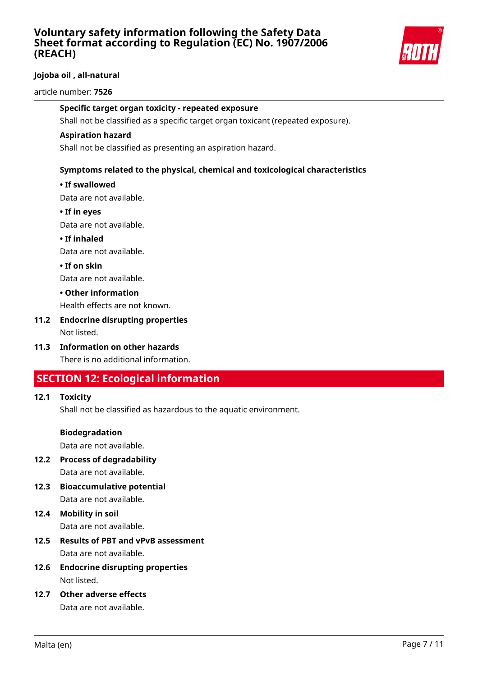

## **Jojoba oil , all-natural**

#### article number: **7526**

#### **Specific target organ toxicity - repeated exposure**

Shall not be classified as a specific target organ toxicant (repeated exposure).

#### **Aspiration hazard**

Shall not be classified as presenting an aspiration hazard.

#### **Symptoms related to the physical, chemical and toxicological characteristics**

#### **• If swallowed**

Data are not available.

#### **• If in eyes**

Data are not available.

#### **• If inhaled**

Data are not available.

#### **• If on skin**

Data are not available.

#### **• Other information**

Health effects are not known.

# **11.2 Endocrine disrupting properties**

Not listed.

#### **11.3 Information on other hazards** There is no additional information.

## **SECTION 12: Ecological information**

#### **12.1 Toxicity**

Shall not be classified as hazardous to the aquatic environment.

#### **Biodegradation**

Data are not available.

# **12.2 Process of degradability**

Data are not available.

- **12.3 Bioaccumulative potential** Data are not available.
- **12.4 Mobility in soil** Data are not available.
- **12.5 Results of PBT and vPvB assessment** Data are not available.
- **12.6 Endocrine disrupting properties** Not listed.
- **12.7 Other adverse effects** Data are not available.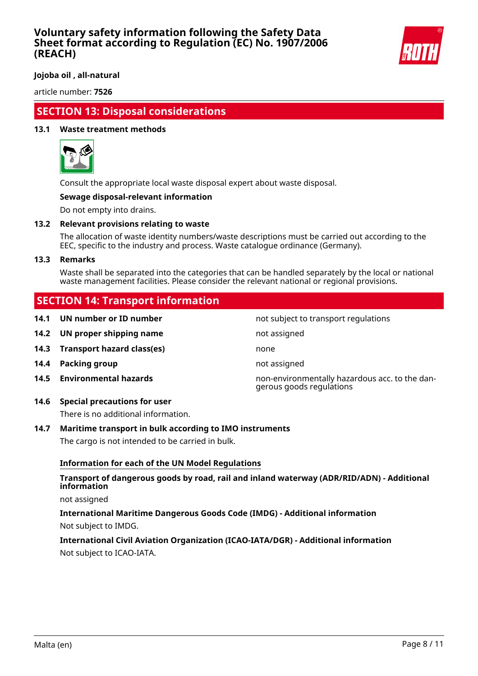

**Jojoba oil , all-natural**

article number: **7526**

## **SECTION 13: Disposal considerations**

#### **13.1 Waste treatment methods**



Consult the appropriate local waste disposal expert about waste disposal.

#### **Sewage disposal-relevant information**

Do not empty into drains.

#### **13.2 Relevant provisions relating to waste**

The allocation of waste identity numbers/waste descriptions must be carried out according to the EEC, specific to the industry and process. Waste catalogue ordinance (Germany).

#### **13.3 Remarks**

Waste shall be separated into the categories that can be handled separately by the local or national waste management facilities. Please consider the relevant national or regional provisions.

## **SECTION 14: Transport information**

**14.1 UN number or ID number not subject to transport regulations 14.2 UN proper shipping name** not assigned **14.3 Transport hazard class(es)** none **14.4 Packing group not assigned 14.5 Environmental hazards** non-environmentally hazardous acc. to the dangerous goods regulations

#### **14.6 Special precautions for user**

There is no additional information.

#### **14.7 Maritime transport in bulk according to IMO instruments**

The cargo is not intended to be carried in bulk.

#### **Information for each of the UN Model Regulations**

#### **Transport of dangerous goods by road, rail and inland waterway (ADR/RID/ADN) - Additional information**

not assigned

#### **International Maritime Dangerous Goods Code (IMDG) - Additional information** Not subject to IMDG.

## **International Civil Aviation Organization (ICAO-IATA/DGR) - Additional information** Not subject to ICAO-IATA.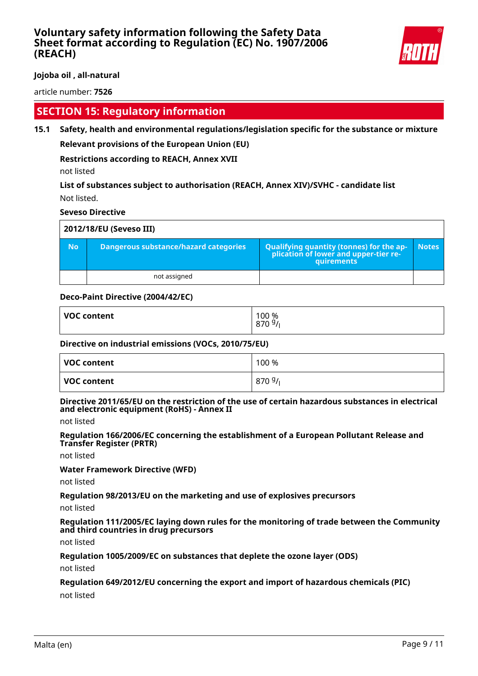

**Jojoba oil , all-natural**

article number: **7526**

## **SECTION 15: Regulatory information**

**15.1 Safety, health and environmental regulations/legislation specific for the substance or mixture Relevant provisions of the European Union (EU)**

**Restrictions according to REACH, Annex XVII**

not listed

**List of substances subject to authorisation (REACH, Annex XIV)/SVHC - candidate list** Not listed.

#### **Seveso Directive**

| 2012/18/EU (Seveso III) |                                              |                                                                                            |              |
|-------------------------|----------------------------------------------|--------------------------------------------------------------------------------------------|--------------|
| <b>No</b>               | <b>Dangerous substance/hazard categories</b> | Qualifying quantity (tonnes) for the application of lower and upper-tier re-<br>quirements | <b>Notes</b> |
|                         | not assigned                                 |                                                                                            |              |

#### **Deco-Paint Directive (2004/42/EC)**

| <b>VOC content</b> | 100 %<br>$\sim$<br>-<br>O/U |
|--------------------|-----------------------------|
|                    |                             |

#### **Directive on industrial emissions (VOCs, 2010/75/EU)**

| VOC content | 100 % |
|-------------|-------|
| VOC content | 8709/ |

#### **Directive 2011/65/EU on the restriction of the use of certain hazardous substances in electrical and electronic equipment (RoHS) - Annex II**

not listed

**Regulation 166/2006/EC concerning the establishment of a European Pollutant Release and Transfer Register (PRTR)**

not listed

**Water Framework Directive (WFD)**

not listed

**Regulation 98/2013/EU on the marketing and use of explosives precursors**

not listed

**Regulation 111/2005/EC laying down rules for the monitoring of trade between the Community and third countries in drug precursors**

not listed

**Regulation 1005/2009/EC on substances that deplete the ozone layer (ODS)**

not listed

#### **Regulation 649/2012/EU concerning the export and import of hazardous chemicals (PIC)**

not listed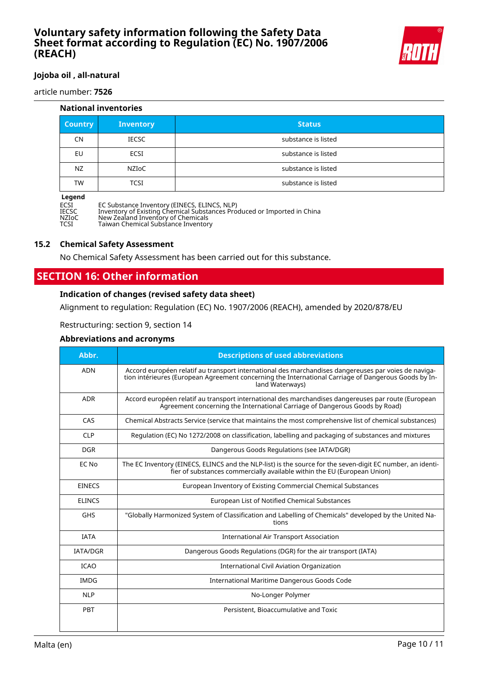

#### **Jojoba oil , all-natural**

article number: **7526**

| <b>National inventories</b> |                  |                     |
|-----------------------------|------------------|---------------------|
| <b>Country</b>              | <b>Inventory</b> | <b>Status</b>       |
| CN                          | <b>IECSC</b>     | substance is listed |
| EU                          | <b>ECSI</b>      | substance is listed |
| NZ                          | NZIoC            | substance is listed |
| TW                          | <b>TCSI</b>      | substance is listed |
| <b>Anand</b>                |                  |                     |

**Legen<br>ECSI<br>IECSC** ECSI EC Substance Inventory (EINECS, ELINCS, NLP) IECSC Inventory of Existing Chemical Substances Produced or Imported in China NZIoC New Zealand Inventory of Chemicals TCSI Taiwan Chemical Substance Inventory

#### **15.2 Chemical Safety Assessment**

No Chemical Safety Assessment has been carried out for this substance.

## **SECTION 16: Other information**

#### **Indication of changes (revised safety data sheet)**

Alignment to regulation: Regulation (EC) No. 1907/2006 (REACH), amended by 2020/878/EU

Restructuring: section 9, section 14

#### **Abbreviations and acronyms**

| Abbr.           | <b>Descriptions of used abbreviations</b>                                                                                                                                                                                       |
|-----------------|---------------------------------------------------------------------------------------------------------------------------------------------------------------------------------------------------------------------------------|
| <b>ADN</b>      | Accord européen relatif au transport international des marchandises dangereuses par voies de naviga-<br>tion intérieures (European Agreement concerning the International Carriage of Dangerous Goods by In-<br>land Waterways) |
| <b>ADR</b>      | Accord européen relatif au transport international des marchandises dangereuses par route (European<br>Agreement concerning the International Carriage of Dangerous Goods by Road)                                              |
| CAS             | Chemical Abstracts Service (service that maintains the most comprehensive list of chemical substances)                                                                                                                          |
| <b>CLP</b>      | Regulation (EC) No 1272/2008 on classification, labelling and packaging of substances and mixtures                                                                                                                              |
| <b>DGR</b>      | Dangerous Goods Regulations (see IATA/DGR)                                                                                                                                                                                      |
| EC No           | The EC Inventory (EINECS, ELINCS and the NLP-list) is the source for the seven-digit EC number, an identi-<br>fier of substances commercially available within the EU (European Union)                                          |
| <b>EINECS</b>   | European Inventory of Existing Commercial Chemical Substances                                                                                                                                                                   |
| <b>ELINCS</b>   | European List of Notified Chemical Substances                                                                                                                                                                                   |
| <b>GHS</b>      | "Globally Harmonized System of Classification and Labelling of Chemicals" developed by the United Na-<br>tions                                                                                                                  |
| <b>IATA</b>     | <b>International Air Transport Association</b>                                                                                                                                                                                  |
| <b>IATA/DGR</b> | Dangerous Goods Regulations (DGR) for the air transport (IATA)                                                                                                                                                                  |
| <b>ICAO</b>     | International Civil Aviation Organization                                                                                                                                                                                       |
| <b>IMDG</b>     | International Maritime Dangerous Goods Code                                                                                                                                                                                     |
| <b>NLP</b>      | No-Longer Polymer                                                                                                                                                                                                               |
| PBT             | Persistent, Bioaccumulative and Toxic                                                                                                                                                                                           |